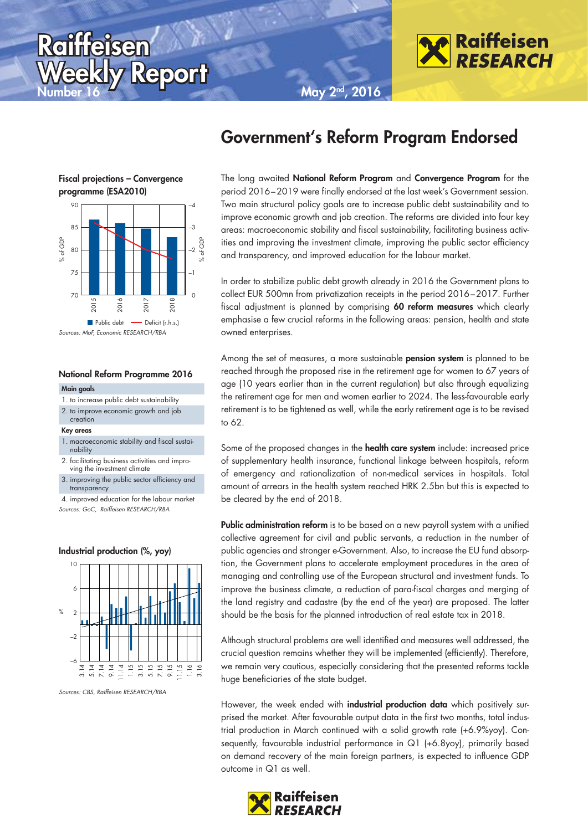





**Raiffeisen** 

**Fiscal projections – Convergence programme (ESA2010)**



Sources: MoF, Economic RESEARCH/RBA

### **National Reform Programme 2016**

#### **Main goals**

- 1. to increase public debt sustainability
- 2. to improve economic growth and job

### creation **Key areas**

- 1. macroeconomic stability and fiscal sustainability
- 2. facilitating business activities and improving the investment climate
- 3. improving the public sector efficiency and **transparency**
- 4. improved education for the labour market Sources: GoC, Raiffeisen RESEARCH/RBA

### **Industrial production (%, yoy)**



Sources: CBS, Raiffeisen RESEARCH/RBA

The long awaited **National Reform Program** and **Convergence Program** for the period 2016 – 2019 were finally endorsed at the last week's Government session. Two main structural policy goals are to increase public debt sustainability and to improve economic growth and job creation. The reforms are divided into four key areas: macroeconomic stability and fiscal sustainability, facilitating business activities and improving the investment climate, improving the public sector efficiency and transparency, and improved education for the labour market.

In order to stabilize public debt growth already in 2016 the Government plans to collect EUR 500mn from privatization receipts in the period 2016 – 2017. Further fiscal adjustment is planned by comprising **60 reform measures** which clearly emphasise a few crucial reforms in the following areas: pension, health and state owned enterprises.

Among the set of measures, a more sustainable **pension system** is planned to be reached through the proposed rise in the retirement age for women to 67 years of age (10 years earlier than in the current regulation) but also through equalizing the retirement age for men and women earlier to 2024. The less-favourable early retirement is to be tightened as well, while the early retirement age is to be revised to 62.

Some of the proposed changes in the **health care system** include: increased price of supplementary health insurance, functional linkage between hospitals, reform of emergency and rationalization of non-medical services in hospitals. Total amount of arrears in the health system reached HRK 2.5bn but this is expected to be cleared by the end of 2018.

**Public administration reform** is to be based on a new payroll system with a unified collective agreement for civil and public servants, a reduction in the number of public agencies and stronger e-Government. Also, to increase the EU fund absorption, the Government plans to accelerate employment procedures in the area of managing and controlling use of the European structural and investment funds. To improve the business climate, a reduction of para-fiscal charges and merging of the land registry and cadastre (by the end of the year) are proposed. The latter should be the basis for the planned introduction of real estate tax in 2018.

Although structural problems are well identified and measures well addressed, the crucial question remains whether they will be implemented (efficiently). Therefore, we remain very cautious, especially considering that the presented reforms tackle huge beneficiaries of the state budget.

However, the week ended with **industrial production data** which positively surprised the market. After favourable output data in the first two months, total industrial production in March continued with a solid growth rate (+6.9%yoy). Consequently, favourable industrial performance in Q1 (+6.8yoy), primarily based on demand recovery of the main foreign partners, is expected to influence GDP outcome in Q1 as well.

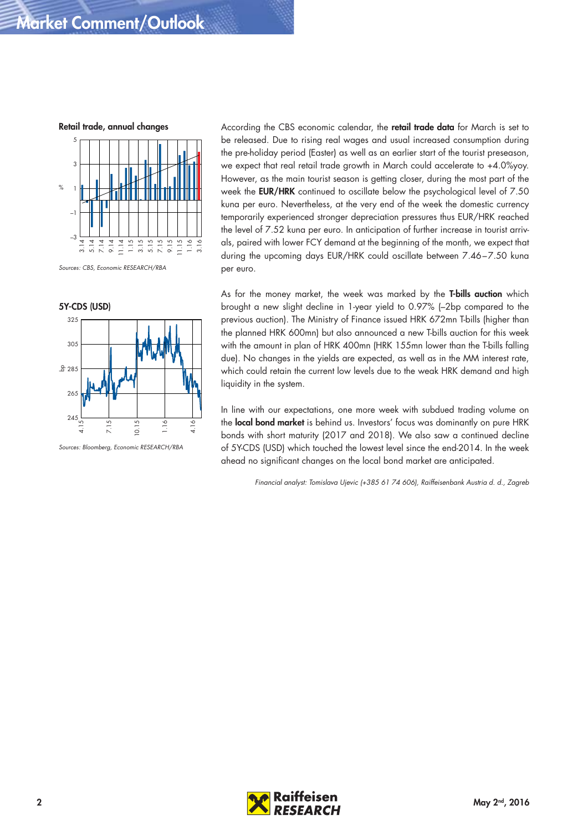# **Market Comment/Outlook**

**Retail trade, annual changes**



Sources: CBS, Economic RESEARCH/RBA



Sources: Bloomberg, Economic RESEARCH/RBA

According the CBS economic calendar, the **retail trade data** for March is set to be released. Due to rising real wages and usual increased consumption during the pre-holiday period (Easter) as well as an earlier start of the tourist preseason, we expect that real retail trade growth in March could accelerate to +4.0%yoy. However, as the main tourist season is getting closer, during the most part of the week the **EUR/HRK** continued to oscillate below the psychological level of 7.50 kuna per euro. Nevertheless, at the very end of the week the domestic currency temporarily experienced stronger depreciation pressures thus EUR/HRK reached the level of 7.52 kuna per euro. In anticipation of further increase in tourist arrivals, paired with lower FCY demand at the beginning of the month, we expect that during the upcoming days EUR/HRK could oscillate between 7.46-7.50 kuna per euro.

As for the money market, the week was marked by the **T-bills auction** which brought a new slight decline in 1-year yield to 0.97% (–2bp compared to the previous auction). The Ministry of Finance issued HRK 672mn T-bills (higher than the planned HRK 600mn) but also announced a new T-bills auction for this week with the amount in plan of HRK 400mn (HRK 155mn lower than the T-bills falling due). No changes in the yields are expected, as well as in the MM interest rate, which could retain the current low levels due to the weak HRK demand and high liquidity in the system.

In line with our expectations, one more week with subdued trading volume on the **local bond market** is behind us. Investors' focus was dominantly on pure HRK bonds with short maturity (2017 and 2018). We also saw a continued decline of 5Y-CDS (USD) which touched the lowest level since the end-2014. In the week ahead no significant changes on the local bond market are anticipated.

Financial analyst: Tomislava Ujevic (+385 61 74 606), Raiffeisenbank Austria d. d., Zagreb

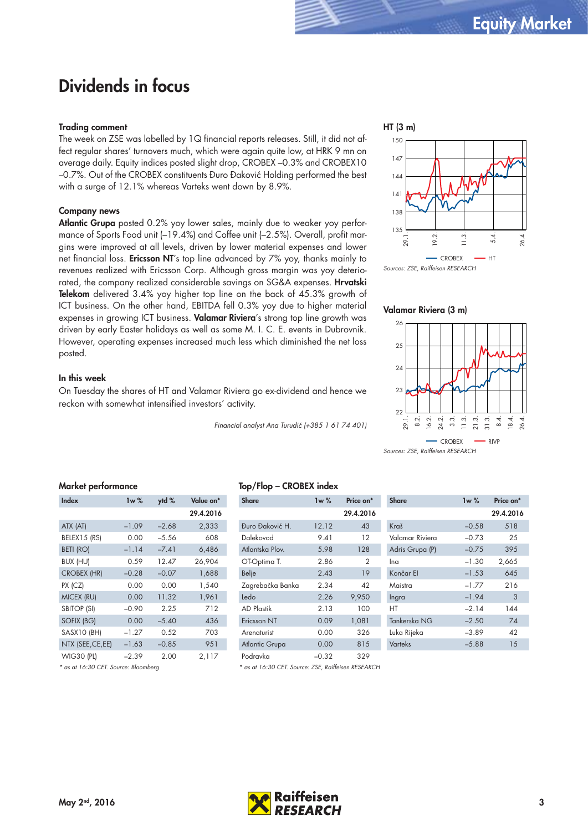# **Dividends in focus**

### **Trading comment**

The week on ZSE was labelled by 1Q financial reports releases. Still, it did not affect regular shares' turnovers much, which were again quite low, at HRK 9 mn on average daily. Equity indices posted slight drop, CROBEX –0.3% and CROBEX10 –0.7%. Out of the CROBEX constituents Đuro Đaković Holding performed the best with a surge of 12.1% whereas Varteks went down by 8.9%.

## **Company news**

**Atlantic Grupa** posted 0.2% yoy lower sales, mainly due to weaker yoy performance of Sports Food unit (–19.4%) and Coffee unit (–2.5%). Overall, profit margins were improved at all levels, driven by lower material expenses and lower net financial loss. **Ericsson NT**'s top line advanced by 7% yoy, thanks mainly to revenues realized with Ericsson Corp. Although gross margin was yoy deteriorated, the company realized considerable savings on SG&A expenses. **Hrvatski Telekom** delivered 3.4% yoy higher top line on the back of 45.3% growth of ICT business. On the other hand, EBITDA fell 0.3% yoy due to higher material expenses in growing ICT business. **Valamar Riviera**'s strong top line growth was driven by early Easter holidays as well as some M. I. C. E. events in Dubrovnik. However, operating expenses increased much less which diminished the net loss posted.

### **In this week**

On Tuesday the shares of HT and Valamar Riviera go ex-dividend and hence we reckon with somewhat intensified investors' activity.

Financial analyst Ana Turudić (+385 1 61 74 401)



**Valamar Riviera (3 m)**



Sources: ZSE, Raiffeisen RESEARCH

| Market performance |
|--------------------|
|                    |
|                    |

| Index              | Iw $%$  | $y$ td % | Value on* |
|--------------------|---------|----------|-----------|
|                    |         |          | 29.4.2016 |
| ATX (AT)           | $-1.09$ | $-2.68$  | 2,333     |
| BELEX15 (RS)       | 0.00    | $-5.56$  | 608       |
| <b>BETI (RO)</b>   | $-1.14$ | $-7.41$  | 6,486     |
| BUX (HU)           | 0.59    | 12.47    | 26,904    |
| <b>CROBEX (HR)</b> | $-0.28$ | $-0.07$  | 1,688     |
| PX (CZ)            | 0.00    | 0.00     | 1,540     |
| MICEX (RU)         | 0.00    | 11.32    | 1,961     |
| <b>SBITOP (SI)</b> | $-0.90$ | 2.25     | 712       |
| SOFIX (BG)         | 0.00    | $-5.40$  | 436       |
| SASX10 (BH)        | $-1.27$ | 0.52     | 703       |
| NTX (SEE, CE, EE)  | $-1.63$ | $-0.85$  | 951       |
| <b>WIG30 (PL)</b>  | $-2.39$ | 2.00     | 2,117     |

\* as at 16:30 CET. Source: Bloomberg

# **Top/Flop – CROBEX index**

| <b>Share</b>     | 1w%     | Price on* | <b>Share</b>    | 1w%     | Price on <sup>*</sup> |
|------------------|---------|-----------|-----------------|---------|-----------------------|
|                  |         | 29.4.2016 |                 |         | 29.4.201              |
| Đuro Đaković H.  | 12.12   | 43        | Kraš            | $-0.58$ | 518                   |
| Dalekovod        | 9.41    | $12 \,$   | Valamar Riviera | $-0.73$ | 25                    |
| Atlantska Plov.  | 5.98    | 128       | Adris Grupa (P) | $-0.75$ | 395                   |
| OT-Optima T.     | 2.86    | 2         | Ina             | $-1.30$ | 2,665                 |
| <b>Belje</b>     | 2.43    | 19        | Končar El       | $-1.53$ | 645                   |
| Zagrebačka Banka | 2.34    | 42        | Maistra         | $-1.77$ | 216                   |
| Ledo             | 2.26    | 9,950     | Ingra           | $-1.94$ | 3                     |
| AD Plastik       | 2.13    | 100       | HT              | $-2.14$ | 144                   |
| Ericsson NT      | 0.09    | 1,081     | Tankerska NG    | $-2.50$ | 74                    |
| Arenaturist      | 0.00    | 326       | Luka Rijeka     | $-3.89$ | 42                    |
| Atlantic Grupa   | 0.00    | 815       | <b>Varteks</b>  | $-5.88$ | 15                    |
| Podravka         | $-0.32$ | 329       |                 |         |                       |

\* as at 16:30 CET. Source: ZSE, Raiffeisen RESEARCH

| <b>FIRE VII</b> | JHUI C          | <b>IW /0</b> | гнсе он   |
|-----------------|-----------------|--------------|-----------|
| 29.4.2016       |                 |              | 29.4.2016 |
| 43              | Kraš            | $-0.58$      | 518       |
| 12              | Valamar Riviera | $-0.73$      | 25        |
| 128             | Adris Grupa (P) | $-0.75$      | 395       |
| 2               | Ina             | $-1.30$      | 2,665     |
| 19              | Končar El       | $-1.53$      | 645       |
| 42              | Maistra         | $-1.77$      | 216       |
| 9,950           | Ingra           | $-1.94$      | 3         |
| 100             | НT              | $-2.14$      | 144       |
| 1,081           | Tankerska NG    | $-2.50$      | 74        |
| 326             | Luka Rijeka     | $-3.89$      | 42        |
| 815             | Varteks         | $-5.88$      | 15        |

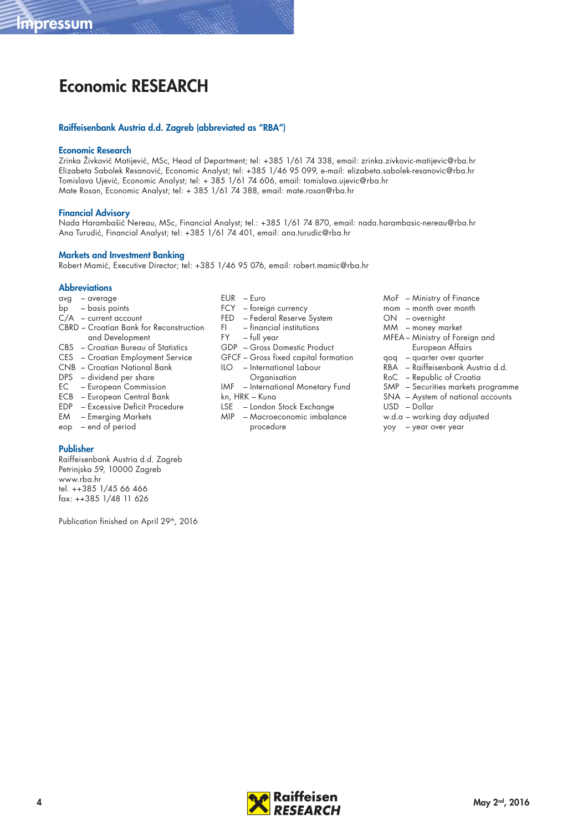# **Economic RESEARCH**

### **Raiffeisenbank Austria d.d. Zagreb (abbreviated as "RBA")**

### **Economic Research**

Zrinka Živković Matijević, MSc, Head of Department; tel: +385 1/61 74 338, email: zrinka.zivkovic-matijevic@rba.hr Elizabeta Sabolek Resanović, Economic Analyst; tel: +385 1/46 95 099, e-mail: elizabeta.sabolek-resanovic@rba.hr Tomislava Ujević, Economic Analyst; tel: + 385 1/61 74 606, email: tomislava.ujevic@rba.hr Mate Rosan, Economic Analyst; tel: + 385 1/61 74 388, email: mate.rosan@rba.hr

### **Financial Advisory**

Nada Harambašić Nereau, MSc, Financial Analyst; tel.: +385 1/61 74 870, email: nada.harambasic-nereau@rba.hr Ana Turudić, Financial Analyst; tel: +385 1/61 74 401, email: ana.turudic@rba.hr

### **Markets and Investment Banking**

Robert Mamić, Executive Director; tel: +385 1/46 95 076, email: robert.mamic@rba.hr

### **Abbreviations**

- avg average
- bp basis points
- C/A current account CBRD – Croatian Bank for Reconstruction
- and Development
- CBS Croatian Bureau of Statistics CES – Croatian Employment Service
- CNB Croatian National Bank
- DPS dividend per share
- EC European Commission
- ECB European Central Bank
- EDP Excessive Deficit Procedure
- EM Emerging Markets
- eop end of period

### **Publisher**

Raiffeisenbank Austria d.d. Zagreb Petrinjska 59, 10000 Zagreb www.rba.hr tel. ++385 1/45 66 466 fax: ++385 1/48 11 626

Publication finished on April 29<sup>th</sup>, 2016

- EUR Euro
- FCY foreign currency
- FED Federal Reserve System
- FI financial institutions
- FY full year
- GDP Gross Domestic Product
- GFCF Gross fixed capital formation
- ILO International Labour
	- **Organisation**
- IMF International Monetary Fund kn, HRK – Kuna
- LSE London Stock Exchange
- MIP Macroeconomic imbalance procedure
- MoF Ministry of Finance
- mom month over month
- ON overnight
- MM money market
- MFEA Ministry of Foreign and European Affairs
- qoq quarter over quarter
- RBA Raiffeisenbank Austria d.d.
- RoC Republic of Croatia
- SMP Securities markets programme
- SNA Aystem of national accounts
- USD Dollar
- w.d.a working day adjusted
- yoy year over year
-